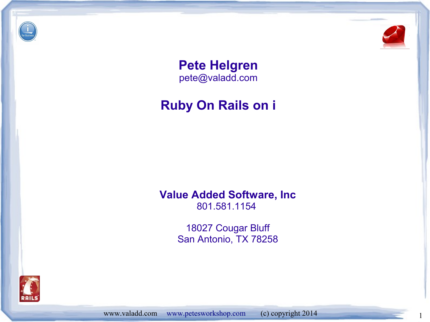



**Pete Helgren** [pete@valadd.com](mailto:pete@valadd.com)

#### **Ruby On Rails on i**

**Value Added Software, Inc** 801.581.1154

> 18027 Cougar Bluff San Antonio, TX 78258



www.valadd.com [www.petesworkshop.com](http://www.petesworkshop.com/) (c) copyright 2014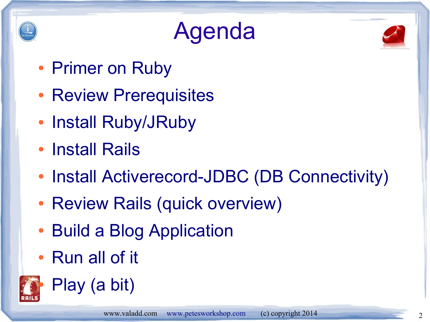

### Agenda



- Primer on Ruby
- Review Prerequisites
- Install Ruby/JRuby
- Install Rails
- Install Activerecord-JDBC (DB Connectivity)
- Review Rails (quick overview)
- Build a Blog Application
- Run all of it



Play (a bit)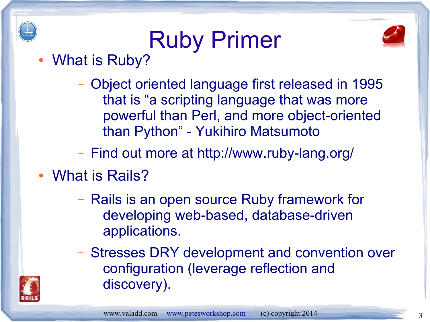## Ruby Primer



• What is Ruby?

- Object oriented language first released in 1995 that is "a scripting language that was more powerful than Perl, and more object-oriented than Python" - Yukihiro Matsumoto
- Find out more at http://www.ruby-lang.org/
- What is Rails?
	- Rails is an open source Ruby framework for developing web-based, database-driven applications.
	- Stresses DRY development and convention over configuration (leverage reflection and discovery).

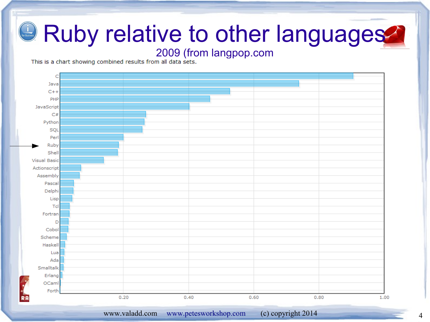#### 2009 (from langpop.com<br>This is a chart showing combined results from all data sets.



www.valadd.com [www.petesworkshop.com](http://www.petesworkshop.com/) (c) copyright 2014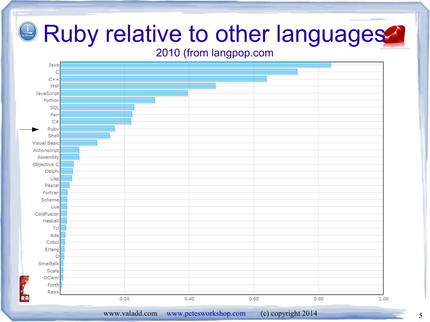#### 2010 (from langpop.com



www.valadd.com [www.petesworkshop.com](http://www.petesworkshop.com/) (c) copyright 2014 5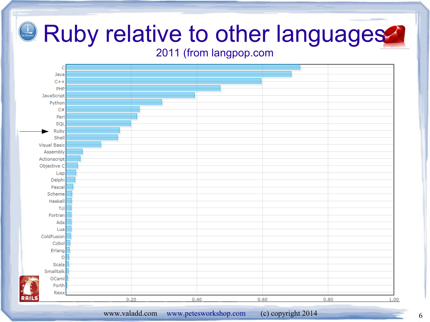#### 2011 (from langpop.com

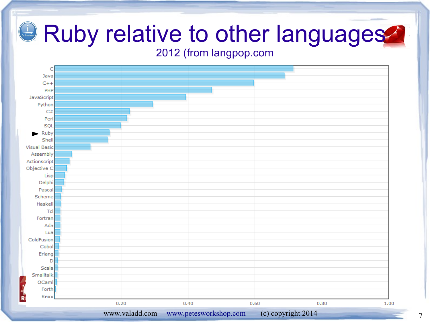#### 2012 (from langpop.com

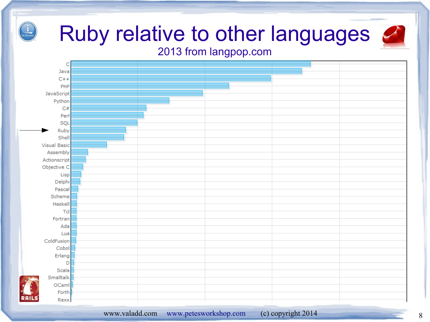#### Ruby relative to other languages 2013 from langpop.com

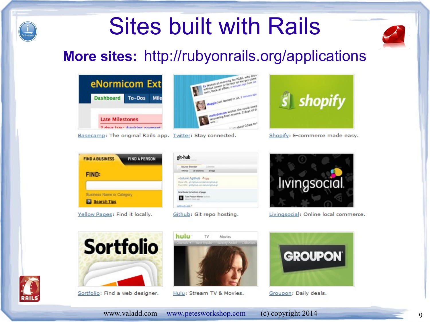### Sites built with Rails



#### **More sites:** http://rubyonrails.org/applications



Basecamp: The original Rails app. Twitter: Stay connected.





Shopify: E-commerce made easy.



| <b>Bource Drowser</b> Cor                                                                                                      |  |
|--------------------------------------------------------------------------------------------------------------------------------|--|
| with the all branches all lags                                                                                                 |  |
| -detuniol.f github A set<br>Correl LPL. grot githulu a service Aurier (githuls up<br>Fuel-UNL: globythub com detunionalistical |  |
| bind footer to bottom of page                                                                                                  |  |

Github: Git repo hosting.



Livingsocial: Online local commerce.



Sortfolio: Find a web designer.



Hulu: Stream TV & Movies.



#### Groupon: Daily deals.



www.valadd.com [www.petesworkshop.com](http://www.petesworkshop.com/) (c) copyright 2014 9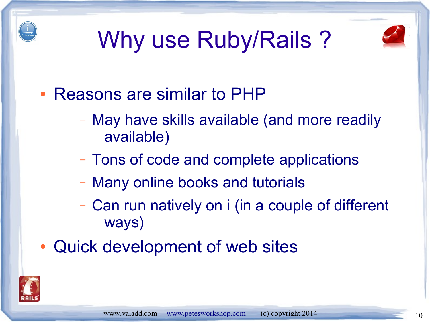





- Reasons are similar to PHP
	- May have skills available (and more readily available)
	- Tons of code and complete applications
	- Many online books and tutorials
	- Can run natively on i (in a couple of different ways)
- Quick development of web sites

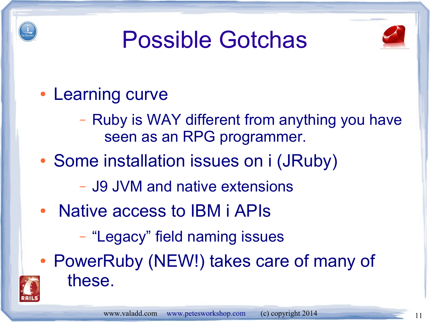

### Possible Gotchas



- Learning curve
	- Ruby is WAY different from anything you have seen as an RPG programmer.
- Some installation issues on i (JRuby)
	- J9 JVM and native extensions
- Native access to IBM i APIs
	- "Legacy" field naming issues
- PowerRuby (NEW!) takes care of many of these.

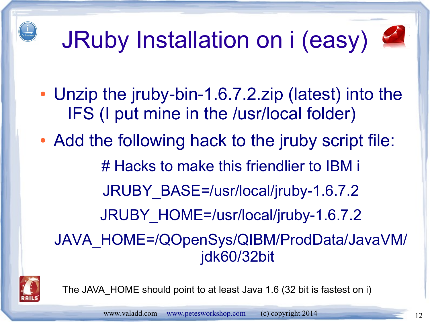## JRuby Installation on i (easy)



- Unzip the jruby-bin-1.6.7.2.zip (latest) into the IFS (I put mine in the /usr/local folder)
- Add the following hack to the jruby script file: # Hacks to make this friendlier to IBM i JRUBY\_BASE=/usr/local/jruby-1.6.7.2 JRUBY\_HOME=/usr/local/jruby-1.6.7.2 JAVA\_HOME=/QOpenSys/QIBM/ProdData/JavaVM/ jdk60/32bit



The JAVA\_HOME should point to at least Java 1.6 (32 bit is fastest on i)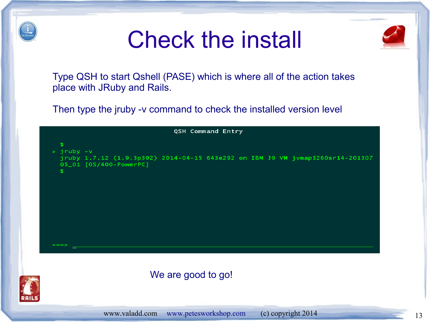

#### Check the install



Type QSH to start Qshell (PASE) which is where all of the action takes place with JRuby and Rails.

Then type the jruby -v command to check the installed version level

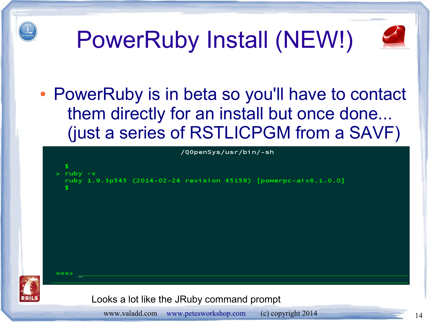

## PowerRuby Install (NEW!)



• PowerRuby is in beta so you'll have to contact them directly for an install but once done... (just a series of RSTLICPGM from a SAVF)

```
/Q0penSys/usr/bin/-sh
> ruby -vruby 1.9.3p545 (2014-02-24 revision 45159) [powerpc-aix6.1.0.0]
       Looks a lot like the JRuby command prompt
```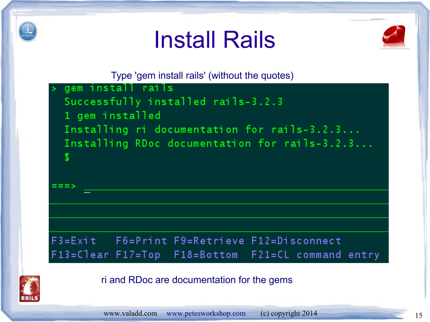





Type 'gem install rails' (without the quotes)





ri and RDoc are documentation for the gems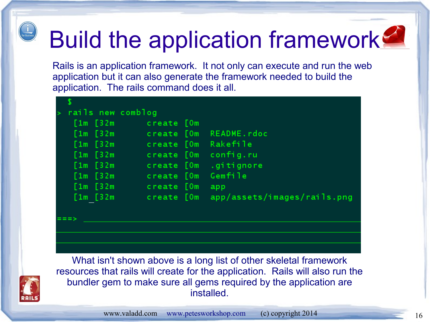

## Build the application framework

Rails is an application framework. It not only can execute and run the web application but it can also generate the framework needed to build the application. The rails command does it all.

| $\geq$ | rails new comblog |            |                             |
|--------|-------------------|------------|-----------------------------|
|        | [1m 52m]          | create [Om |                             |
|        | $[1m]$ $[32m]$    | create [Om | README.rdoc                 |
|        | $[1m]$ $[32m]$    | create [Om | Rakefile                    |
|        | $[1m]$ $[32m]$    | create [Om | config.ru                   |
|        | $[1m]$ $[32m]$    | create [Om | .gitignore                  |
|        | [1m 52m]          | create [Om | Gemfile                     |
|        | $[1m]$ $[32m]$    | create [Om | app                         |
|        | [1m 52m]          | create [Om | app/assets/images/rails.png |
|        |                   |            |                             |

What isn't shown above is a long list of other skeletal framework resources that rails will create for the application. Rails will also run the bundler gem to make sure all gems required by the application are installed.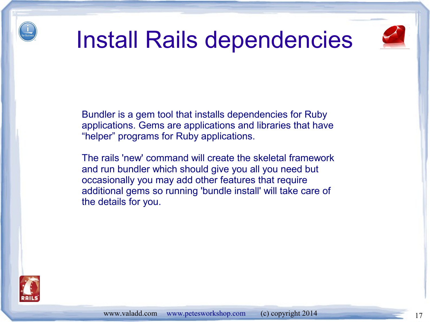

#### Install Rails dependencies



Bundler is a gem tool that installs dependencies for Ruby applications. Gems are applications and libraries that have "helper" programs for Ruby applications.

The rails 'new' command will create the skeletal framework and run bundler which should give you all you need but occasionally you may add other features that require additional gems so running 'bundle install' will take care of the details for you.

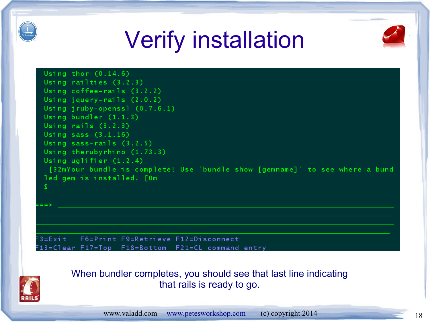

### Verify installation



Using thor  $(0.14.6)$ Using railties (3.2.3) Using coffee-rails (3.2.2) Using jquery-rails (2.0.2) Using jruby-openss1 (0.7.6.1) Using bundler (1.1.3) Using rails  $(3.2.3)$ Using sass  $(3.1.16)$ Using sass-rails  $(3.2.5)$ Using therubyrhino (1.73.3) Using uglifier (1.2.4) [32mYour bundle is complete! Use `bundle show [gemname]` to see where a bund led gem is installed. [Om

 $= 3 = E \times i$ t F6=Print F9=Retrieve F12=Disconnect F13=Clear F17=Top F18=Bottom F21=CL command entry



When bundler completes, you should see that last line indicating that rails is ready to go.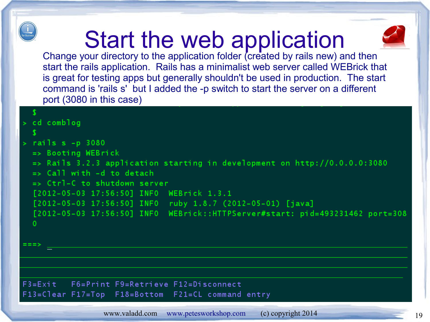

#### Start the web application



Change your directory to the application folder (created by rails new) and then start the rails application. Rails has a minimalist web server called WEBrick that is great for testing apps but generally shouldn't be used in production. The start command is 'rails s' but I added the -p switch to start the server on a different port (3080 in this case)

#### $> cd$  comblog

-S

```
rails s - p 3080
```

```
\Rightarrow Booting WEBrick
```

```
\Rightarrow Rails 3.2.3 application starting in development on http://0.0.0.0:3080
```

```
\Rightarrow Call with -d to detach
```

```
=> Ctrl-C to shutdown server
```

```
[2012-05-03 17:56:50] INFO WEBrick 1.3.1
```

```
[2012-05-03 17:56:50] INFO ruby 1.8.7 (2012-05-01) [java]
```

```
[2012-05-03 17:56:50] INFO WEBrick::HTTPServer#start: pid=493231462 port=308
```
 $\Omega$ 

 $===>$ 

#### F6=Print F9=Retrieve F12=Disconnect  $F3 = E \times i t$ F13=Clear F17=Top F18=Bottom F21=CL command entry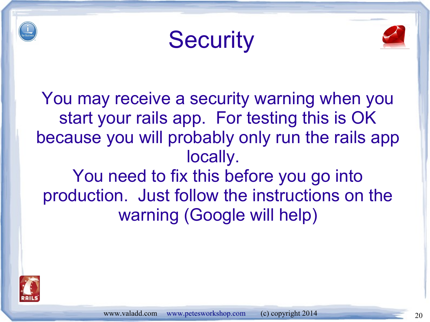





You may receive a security warning when you start your rails app. For testing this is OK because you will probably only run the rails app locally. You need to fix this before you go into production. Just follow the instructions on the warning (Google will help)

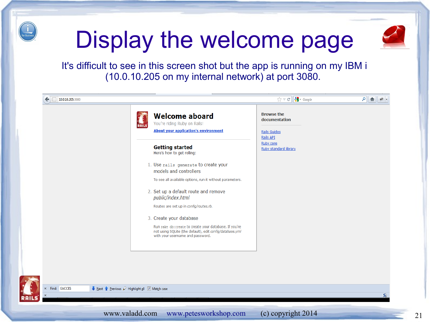

### Display the welcome page



It's difficult to see in this screen shot but the app is running on my IBM i (10.0.10.205 on my internal network) at port 3080.

| <b>RAILS</b> | <b>Welcome aboard</b><br>You're riding Ruby on Rails!<br><b>About your application's environment</b>                                                                                                                                                                                                                                                                                                                                                                           | <b>Browse the</b><br>documentation<br>Rails Guides<br>Rails API |  |
|--------------|--------------------------------------------------------------------------------------------------------------------------------------------------------------------------------------------------------------------------------------------------------------------------------------------------------------------------------------------------------------------------------------------------------------------------------------------------------------------------------|-----------------------------------------------------------------|--|
|              | <b>Getting started</b><br>Here's how to get rolling:<br>1. Use rails generate to create your<br>models and controllers<br>To see all available options, run it without parameters.<br>2. Set up a default route and remove<br>public/index.html<br>Routes are set up in config/routes.rb.<br>3. Create your database<br>Run rake db: create to create your database. If you're<br>not using SQLite (the default), edit config/database.yml<br>with your username and password. | <b>Ruby core</b><br>Ruby standard library                       |  |

EACCES Next Previous  $\mathcal Q$  Highlight all  $\mathbb Q$  Match case

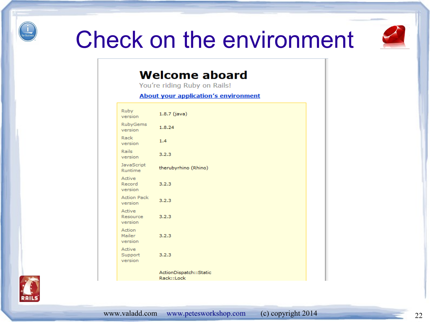

#### Check on the environment



#### **Welcome aboard**

You're riding Ruby on Rails!

**About your application's environment** 

| Ruby<br>version               | $1.8.7$ (java)                       |
|-------------------------------|--------------------------------------|
| <b>RubyGems</b><br>version    | 1.8.24                               |
| Rack<br>version               | 1.4                                  |
| Rails<br>version              | 3.2.3                                |
| JavaScript<br>Runtime         | therubyrhino (Rhino)                 |
| Active<br>Record<br>version   | 3.2.3                                |
| <b>Action Pack</b><br>version | 3.2.3                                |
| Active<br>Resource<br>version | 3.2.3                                |
| Action<br>Mailer<br>version   | 3.2.3                                |
| Active<br>Support<br>version  | 3.2.3                                |
|                               | ActionDispatch::Static<br>Rack::Lock |

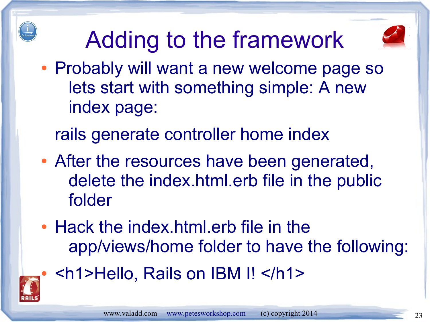

## Adding to the framework



- Probably will want a new welcome page so lets start with something simple: A new index page:
	- rails generate controller home index
- After the resources have been generated, delete the index.html.erb file in the public folder
- Hack the index.html.erb file in the app/views/home folder to have the following:



● <h1>Hello, Rails on IBM I! </h1>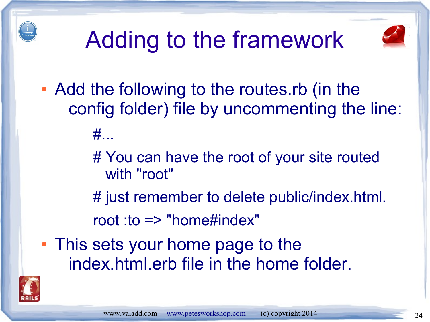

## Adding to the framework



• Add the following to the routes.rb (in the config folder) file by uncommenting the line:

#...

# You can have the root of your site routed with "root"

# just remember to delete public/index.html.

root :to => "home#index"

• This sets your home page to the index.html.erb file in the home folder.

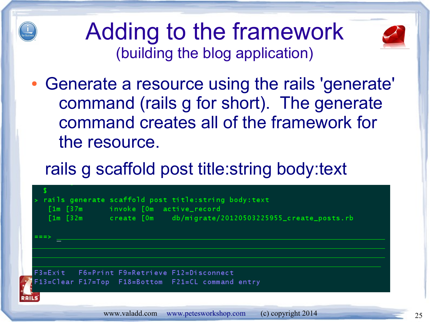

#### Adding to the framework (building the blog application)



• Generate a resource using the rails 'generate' command (rails g for short). The generate command creates all of the framework for the resource.

#### rails g scaffold post title:string body:text

| ニニニン | [1m [37m invoke [0m active_record | rails generate scaffold post title: string body: text<br>[1m [32m create [0m db/migrate/20120503225955_create_posts.rb |
|------|-----------------------------------|------------------------------------------------------------------------------------------------------------------------|
|      |                                   | F3=Exit F6=Print F9=Retrieve F12=Disconnect<br>F13=Clear F17=Top F18=Bottom F21=CL command entry                       |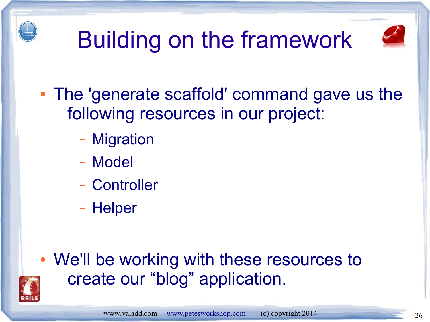

## Building on the framework



- The 'generate scaffold' command gave us the following resources in our project:
	- Migration
	- Model
	- Controller
	- Helper

• We'll be working with these resources to create our "blog" application.

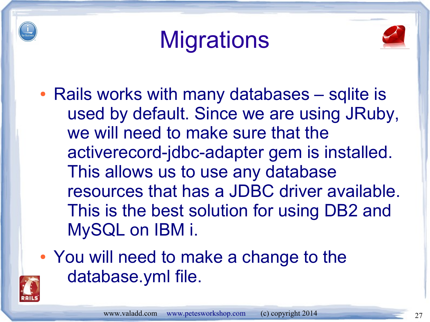

### **Migrations**



- Rails works with many databases sqlite is used by default. Since we are using JRuby, we will need to make sure that the activerecord-jdbc-adapter gem is installed. This allows us to use any database resources that has a JDBC driver available. This is the best solution for using DB2 and MySQL on IBM i.
- You will need to make a change to the database.yml file.

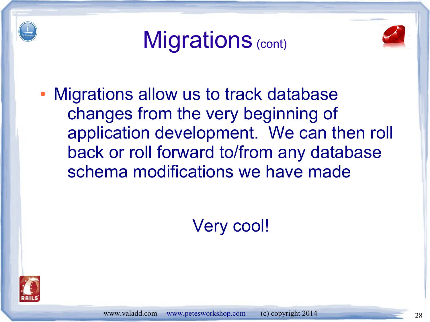





• Migrations allow us to track database changes from the very beginning of application development. We can then roll back or roll forward to/from any database schema modifications we have made

Very cool!

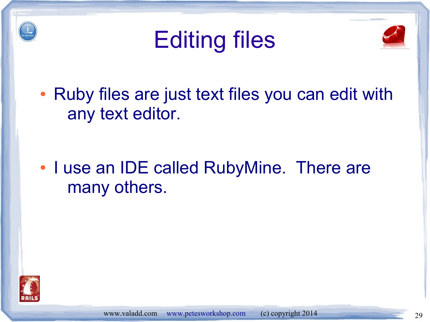





• Ruby files are just text files you can edit with any text editor.

• I use an IDE called RubyMine. There are many others.

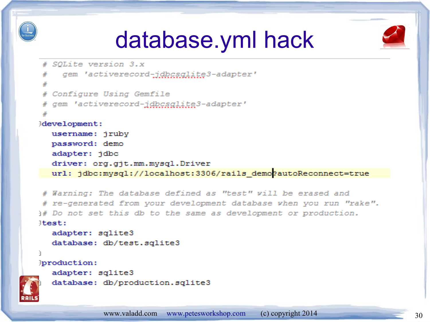





```
# SOLite version 3.x
    gem 'activerecord-jdbcsglite3-adapter'
# Configure Using Gemfile
# qem 'activerecord-jdbcsqlite3-adapter'
development:
  username: jruby
  password: demo
  adapter: jdbc
  driver: org.git.mm.mysgl.Driver
  url: jdbc:mysql://localhost:3306/rails demogautoReconnect=true
```
# Warning: The database defined as "test" vill be erased and # re-generated from your development database when you run "rake". if Do not set this db to the same as development or production. *liest:* 

```
adapter: sqlite3
database: db/test.sqlite3
```
**Jproduction:** 

ą,

```
adapter: sqlite3
```
database: db/production.sqlite3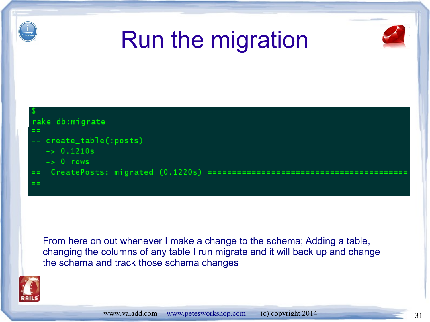

### Run the migration





From here on out whenever I make a change to the schema; Adding a table, changing the columns of any table I run migrate and it will back up and change the schema and track those schema changes

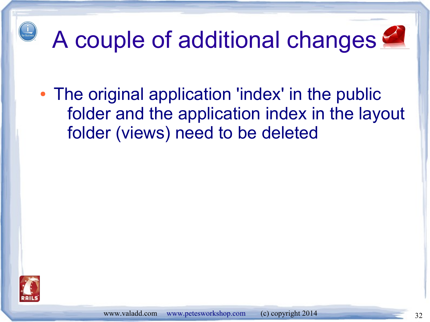# A couple of additional changes

• The original application 'index' in the public folder and the application index in the layout folder (views) need to be deleted

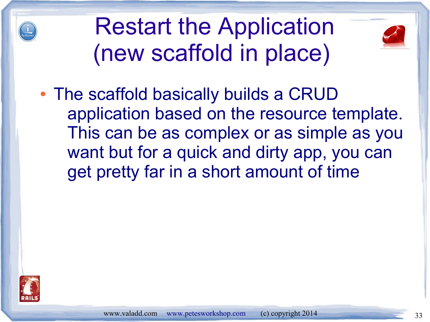

Restart the Application (new scaffold in place)



• The scaffold basically builds a CRUD application based on the resource template. This can be as complex or as simple as you want but for a quick and dirty app, you can get pretty far in a short amount of time

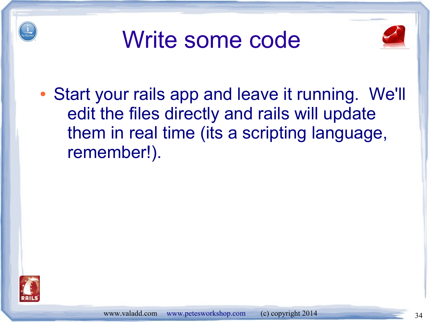





• Start your rails app and leave it running. We'll edit the files directly and rails will update them in real time (its a scripting language, remember!).

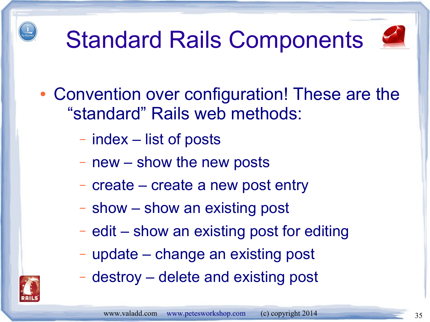## Standard Rails Components



- Convention over configuration! These are the "standard" Rails web methods:
	- index list of posts
	- new show the new posts
	- create create a new post entry
	- show show an existing post
	- edit show an existing post for editing
	- update change an existing post
	- destroy delete and existing post

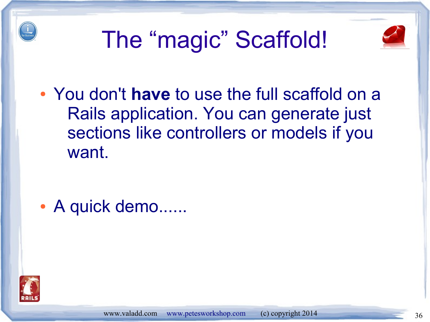





● You don't **have** to use the full scaffold on a Rails application. You can generate just sections like controllers or models if you want.

• A quick demo......

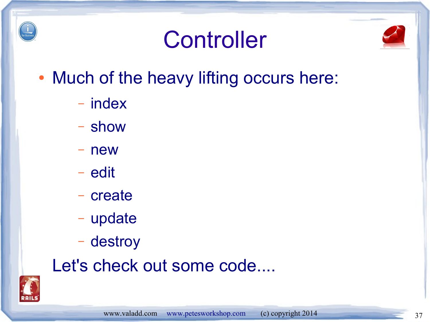

#### **Controller**



- Much of the heavy lifting occurs here:
	- index
	- show
	- new
	- edit
	- create
	- update
	- destroy

#### Let's check out some code....

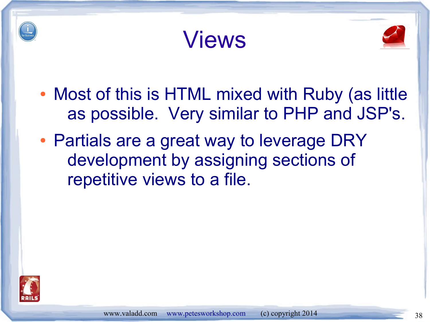





- Most of this is HTML mixed with Ruby (as little as possible. Very similar to PHP and JSP's.
- Partials are a great way to leverage DRY development by assigning sections of repetitive views to a file.

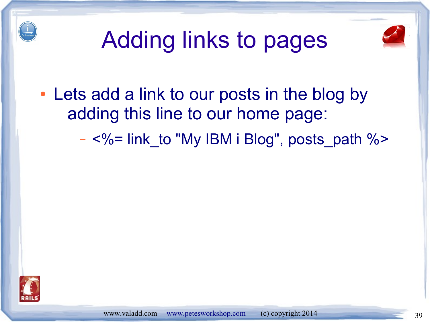



### Adding links to pages

- Lets add a link to our posts in the blog by adding this line to our home page:
	- $-$  <%= link to "My IBM i Blog", posts path %>